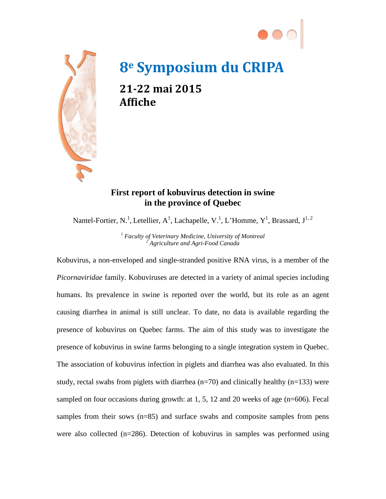



## **8e Symposium du CRIPA**

**21-22 mai 2015 Affiche**

## **First report of kobuvirus detection in swine in the province of Quebec**

Nantel-Fortier, N.<sup>1</sup>, Letellier, A<sup>1</sup>, Lachapelle, V.<sup>1</sup>, L'Homme, Y<sup>1</sup>, Brassard, J<sup>1, 2</sup>

*<sup>1</sup> Faculty of Veterinary Medicine, University of Montreal <sup>2</sup> Agriculture and Agri-Food Canada*

Kobuvirus, a non-enveloped and single-stranded positive RNA virus, is a member of the *Picornaviridae* family. Kobuviruses are detected in a variety of animal species including humans. Its prevalence in swine is reported over the world, but its role as an agent causing diarrhea in animal is still unclear. To date, no data is available regarding the presence of kobuvirus on Quebec farms. The aim of this study was to investigate the presence of kobuvirus in swine farms belonging to a single integration system in Quebec. The association of kobuvirus infection in piglets and diarrhea was also evaluated. In this study, rectal swabs from piglets with diarrhea ( $n=70$ ) and clinically healthy ( $n=133$ ) were sampled on four occasions during growth: at 1, 5, 12 and 20 weeks of age (n=606). Fecal samples from their sows (n=85) and surface swabs and composite samples from pens were also collected  $(n=286)$ . Detection of kobuvirus in samples was performed using